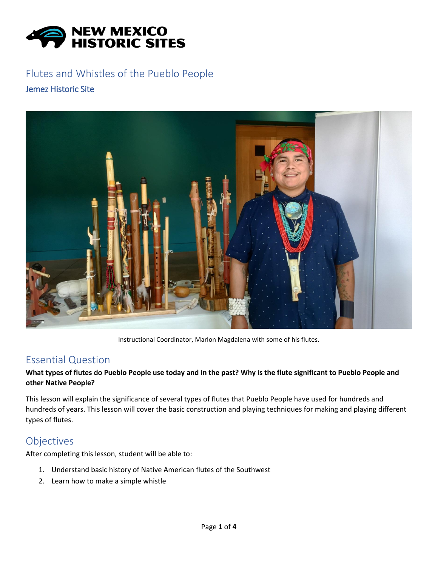

# Flutes and Whistles of the Pueblo People

#### Jemez Historic Site



Instructional Coordinator, Marlon Magdalena with some of his flutes.

#### Essential Question

#### **What types of flutes do Pueblo People use today and in the past? Why is the flute significant to Pueblo People and other Native People?**

This lesson will explain the significance of several types of flutes that Pueblo People have used for hundreds and hundreds of years. This lesson will cover the basic construction and playing techniques for making and playing different types of flutes.

# **Objectives**

After completing this lesson, student will be able to:

- 1. Understand basic history of Native American flutes of the Southwest
- 2. Learn how to make a simple whistle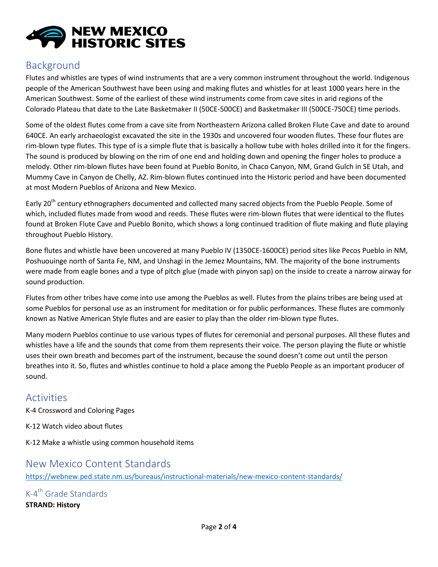

# Background

Flutes and whistles are types of wind instruments that are a very common instrument throughout the world. Indigenous people of the American Southwest have been using and making flutes and whistles for at least 1000 years here in the American Southwest. Some of the earliest of these wind instruments come from cave sites in arid regions of the Colorado Plateau that date to the Late Basketmaker II (50CE-500CE) and Basketmaker III (500CE-750CE) time periods.

Some of the oldest flutes come from a cave site from Northeastern Arizona called Broken Flute Cave and date to around 640CE. An early archaeologist excavated the site in the 1930s and uncovered four wooden flutes. These four flutes are rim-blown type flutes. This type of is a simple flute that is basically a hollow tube with holes drilled into it for the fingers. The sound is produced by blowing on the rim of one end and holding down and opening the finger holes to produce a melody. Other rim-blown flutes have been found at Pueblo Bonito, in Chaco Canyon, NM, Grand Gulch in SE Utah, and Mummy Cave in Canyon de Chelly, AZ. Rim-blown flutes continued into the Historic period and have been documented at most Modern Pueblos of Arizona and New Mexico.

Early 20<sup>th</sup> century ethnographers documented and collected many sacred objects from the Pueblo People. Some of which, included flutes made from wood and reeds. These flutes were rim-blown flutes that were identical to the flutes found at Broken Flute Cave and Pueblo Bonito, which shows a long continued tradition of flute making and flute playing throughout Pueblo History.

Bone flutes and whistle have been uncovered at many Pueblo IV (1350CE-1600CE) period sites like Pecos Pueblo in NM, Poshuouinge north of Santa Fe, NM, and Unshagi in the Jemez Mountains, NM. The majority of the bone instruments were made from eagle bones and a type of pitch glue (made with pinyon sap) on the inside to create a narrow airway for sound production.

Flutes from other tribes have come into use among the Pueblos as well. Flutes from the plains tribes are being used at some Pueblos for personal use as an instrument for meditation or for public performances. These flutes are commonly known as Native American Style flutes and are easier to play than the older rim-blown type flutes.

Many modern Pueblos continue to use various types of flutes for ceremonial and personal purposes. All these flutes and whistles have a life and the sounds that come from them represents their voice. The person playing the flute or whistle uses their own breath and becomes part of the instrument, because the sound doesn't come out until the person breathes into it. So, flutes and whistles continue to hold a place among the Pueblo People as an important producer of sound.

# Activities

K-4 Crossword and Coloring Pages

K-12 Watch video about flutes

K-12 Make a whistle using common household items

# New Mexico Content Standards

<https://webnew.ped.state.nm.us/bureaus/instructional-materials/new-mexico-content-standards/>

K-4<sup>th</sup> Grade Standards **STRAND: History**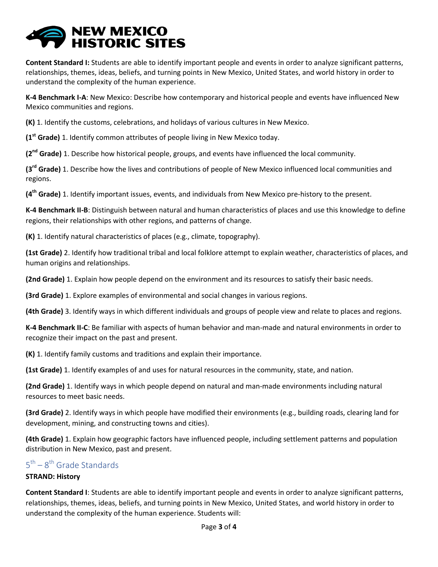# **NEW MEXICO<br>HISTORIC SITES**

**Content Standard I:** Students are able to identify important people and events in order to analyze significant patterns, relationships, themes, ideas, beliefs, and turning points in New Mexico, United States, and world history in order to understand the complexity of the human experience.

**K-4 Benchmark I-A**: New Mexico: Describe how contemporary and historical people and events have influenced New Mexico communities and regions.

**(K)** 1. Identify the customs, celebrations, and holidays of various cultures in New Mexico.

**(1st Grade)** 1. Identify common attributes of people living in New Mexico today.

**(2nd Grade)** 1. Describe how historical people, groups, and events have influenced the local community.

**(3rd Grade)** 1. Describe how the lives and contributions of people of New Mexico influenced local communities and regions.

**(4th Grade)** 1. Identify important issues, events, and individuals from New Mexico pre-history to the present.

**K-4 Benchmark II-B**: Distinguish between natural and human characteristics of places and use this knowledge to define regions, their relationships with other regions, and patterns of change.

**(K)** 1. Identify natural characteristics of places (e.g., climate, topography).

**(1st Grade)** 2. Identify how traditional tribal and local folklore attempt to explain weather, characteristics of places, and human origins and relationships.

**(2nd Grade)** 1. Explain how people depend on the environment and its resources to satisfy their basic needs.

**(3rd Grade)** 1. Explore examples of environmental and social changes in various regions.

**(4th Grade)** 3. Identify ways in which different individuals and groups of people view and relate to places and regions.

**K-4 Benchmark II-C**: Be familiar with aspects of human behavior and man-made and natural environments in order to recognize their impact on the past and present.

**(K)** 1. Identify family customs and traditions and explain their importance.

**(1st Grade)** 1. Identify examples of and uses for natural resources in the community, state, and nation.

**(2nd Grade)** 1. Identify ways in which people depend on natural and man-made environments including natural resources to meet basic needs.

**(3rd Grade)** 2. Identify ways in which people have modified their environments (e.g., building roads, clearing land for development, mining, and constructing towns and cities).

**(4th Grade)** 1. Explain how geographic factors have influenced people, including settlement patterns and population distribution in New Mexico, past and present.

### 5<sup>th</sup> – 8<sup>th</sup> Grade Standards

#### **STRAND: History**

**Content Standard I**: Students are able to identify important people and events in order to analyze significant patterns, relationships, themes, ideas, beliefs, and turning points in New Mexico, United States, and world history in order to understand the complexity of the human experience. Students will: